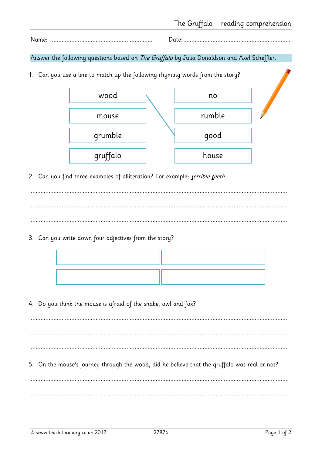$Date$ 

Answer the following questions based on The Gruffalo by Julia Donaldson and Axel Scheffler.

1. Can you use a line to match up the following rhyming words from the story?



2. Can you find three examples of alliteration? For example: *terrible teeth* 

3. Can you write down four adjectives from the story?

4. Do you think the mouse is afraid of the snake, owl and fox?

5. On the mouse's journey through the wood, did he believe that the gruffalo was real or not?